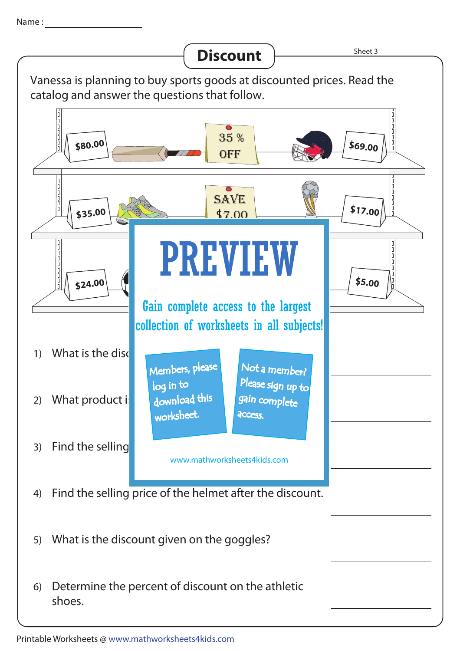